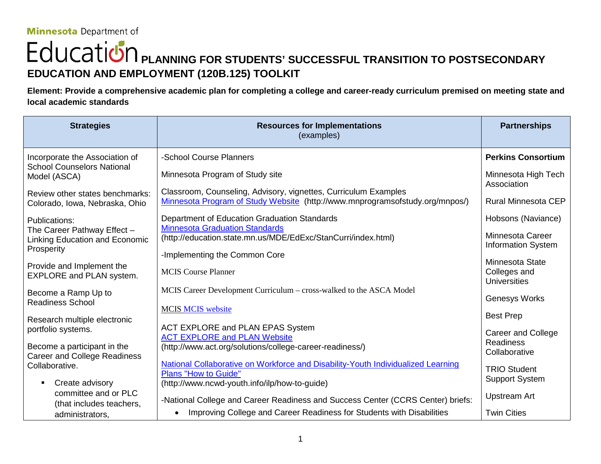# **POLICATION** PLANNING FOR STUDENTS' SUCCESSFUL TRANSITION TO POSTSECONDARY **EDUCATION AND EMPLOYMENT (120B.125) TOOLKIT**

**Element: Provide a comprehensive academic plan for completing a college and career-ready curriculum premised on meeting state and local academic standards**

| <b>Strategies</b>                                                           | <b>Resources for Implementations</b><br>(examples)                                                                                              | <b>Partnerships</b>                           |
|-----------------------------------------------------------------------------|-------------------------------------------------------------------------------------------------------------------------------------------------|-----------------------------------------------|
| Incorporate the Association of                                              | -School Course Planners                                                                                                                         | <b>Perkins Consortium</b>                     |
| <b>School Counselors National</b><br>Model (ASCA)                           | Minnesota Program of Study site                                                                                                                 | Minnesota High Tech<br>Association            |
| Review other states benchmarks:<br>Colorado, Iowa, Nebraska, Ohio           | Classroom, Counseling, Advisory, vignettes, Curriculum Examples<br>Minnesota Program of Study Website (http://www.mnprogramsofstudy.org/mnpos/) | <b>Rural Minnesota CEP</b>                    |
| Publications:                                                               | Department of Education Graduation Standards<br><b>Minnesota Graduation Standards</b>                                                           | Hobsons (Naviance)                            |
| The Career Pathway Effect -<br>Linking Education and Economic<br>Prosperity | (http://education.state.mn.us/MDE/EdExc/StanCurri/index.html)                                                                                   | Minnesota Career<br><b>Information System</b> |
| Provide and Implement the                                                   | -Implementing the Common Core                                                                                                                   | Minnesota State                               |
| EXPLORE and PLAN system.                                                    | <b>MCIS Course Planner</b>                                                                                                                      | Colleges and<br><b>Universities</b>           |
| Become a Ramp Up to                                                         | MCIS Career Development Curriculum - cross-walked to the ASCA Model                                                                             | Genesys Works                                 |
| <b>Readiness School</b>                                                     | <b>MCIS MCIS website</b>                                                                                                                        | <b>Best Prep</b>                              |
| Research multiple electronic<br>portfolio systems.                          | ACT EXPLORE and PLAN EPAS System                                                                                                                | <b>Career and College</b>                     |
| Become a participant in the<br><b>Career and College Readiness</b>          | <b>ACT EXPLORE and PLAN Website</b><br>(http://www.act.org/solutions/college-career-readiness/)                                                 | <b>Readiness</b><br>Collaborative             |
| Collaborative.                                                              | National Collaborative on Workforce and Disability-Youth Individualized Learning<br><b>Plans "How to Guide"</b>                                 | <b>TRIO Student</b>                           |
| Create advisory<br>٠                                                        | (http://www.ncwd-youth.info/ilp/how-to-guide)                                                                                                   | <b>Support System</b>                         |
| committee and or PLC<br>(that includes teachers,                            | -National College and Career Readiness and Success Center (CCRS Center) briefs:                                                                 | <b>Upstream Art</b>                           |
| administrators,                                                             | Improving College and Career Readiness for Students with Disabilities                                                                           | <b>Twin Cities</b>                            |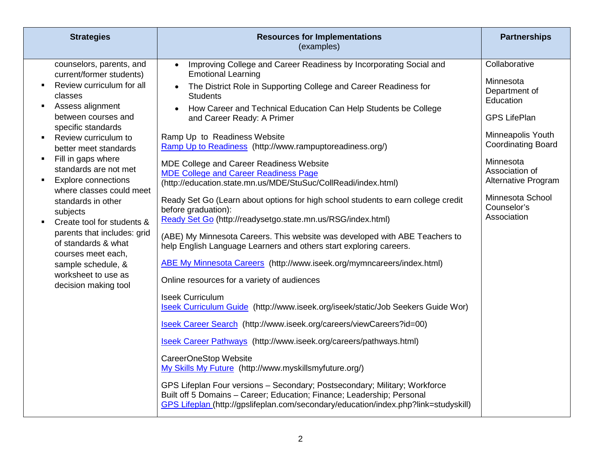| <b>Strategies</b>                                                                                                                                                                                                                                                                                                                                                                                                                                                                                                                                                                                                                                    | <b>Resources for Implementations</b><br>(examples)                                                                                                                                                                                                                                                                                                                                                                                                                                                                                                                                                                                                                                                                                                                                                                                                                                                                                                                                                                                                                                                                                                                                                                                                                                                                                                                                                                                                                                                                                                                                                                                  | <b>Partnerships</b>                                                                                                                                                                                                                       |
|------------------------------------------------------------------------------------------------------------------------------------------------------------------------------------------------------------------------------------------------------------------------------------------------------------------------------------------------------------------------------------------------------------------------------------------------------------------------------------------------------------------------------------------------------------------------------------------------------------------------------------------------------|-------------------------------------------------------------------------------------------------------------------------------------------------------------------------------------------------------------------------------------------------------------------------------------------------------------------------------------------------------------------------------------------------------------------------------------------------------------------------------------------------------------------------------------------------------------------------------------------------------------------------------------------------------------------------------------------------------------------------------------------------------------------------------------------------------------------------------------------------------------------------------------------------------------------------------------------------------------------------------------------------------------------------------------------------------------------------------------------------------------------------------------------------------------------------------------------------------------------------------------------------------------------------------------------------------------------------------------------------------------------------------------------------------------------------------------------------------------------------------------------------------------------------------------------------------------------------------------------------------------------------------------|-------------------------------------------------------------------------------------------------------------------------------------------------------------------------------------------------------------------------------------------|
| counselors, parents, and<br>current/former students)<br>Review curriculum for all<br>$\blacksquare$<br>classes<br>Assess alignment<br>$\blacksquare$<br>between courses and<br>specific standards<br>Review curriculum to<br>$\blacksquare$<br>better meet standards<br>Fill in gaps where<br>$\blacksquare$<br>standards are not met<br><b>Explore connections</b><br>$\blacksquare$<br>where classes could meet<br>standards in other<br>subjects<br>Create tool for students &<br>$\blacksquare$<br>parents that includes: grid<br>of standards & what<br>courses meet each,<br>sample schedule, &<br>worksheet to use as<br>decision making tool | Improving College and Career Readiness by Incorporating Social and<br>$\bullet$<br><b>Emotional Learning</b><br>The District Role in Supporting College and Career Readiness for<br>$\bullet$<br><b>Students</b><br>How Career and Technical Education Can Help Students be College<br>and Career Ready: A Primer<br>Ramp Up to Readiness Website<br>Ramp Up to Readiness (http://www.rampuptoreadiness.org/)<br>MDE College and Career Readiness Website<br><b>MDE College and Career Readiness Page</b><br>(http://education.state.mn.us/MDE/StuSuc/CollReadi/index.html)<br>Ready Set Go (Learn about options for high school students to earn college credit<br>before graduation):<br>Ready Set Go (http://readysetgo.state.mn.us/RSG/index.html)<br>(ABE) My Minnesota Careers. This website was developed with ABE Teachers to<br>help English Language Learners and others start exploring careers.<br>ABE My Minnesota Careers (http://www.iseek.org/mymncareers/index.html)<br>Online resources for a variety of audiences<br><b>Iseek Curriculum</b><br>Iseek Curriculum Guide (http://www.iseek.org/iseek/static/Job Seekers Guide Wor)<br>Iseek Career Search (http://www.iseek.org/careers/viewCareers?id=00)<br>Iseek Career Pathways (http://www.iseek.org/careers/pathways.html)<br>CareerOneStop Website<br>My Skills My Future (http://www.myskillsmyfuture.org/)<br>GPS Lifeplan Four versions - Secondary; Postsecondary; Military; Workforce<br>Built off 5 Domains - Career; Education; Finance; Leadership; Personal<br>GPS Lifeplan (http://gpslifeplan.com/secondary/education/index.php?link=studyskill) | Collaborative<br>Minnesota<br>Department of<br>Education<br><b>GPS LifePlan</b><br>Minneapolis Youth<br><b>Coordinating Board</b><br>Minnesota<br>Association of<br>Alternative Program<br>Minnesota School<br>Counselor's<br>Association |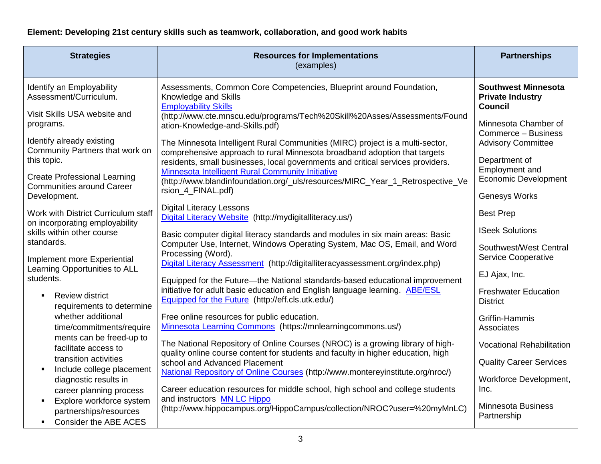### **Element: Developing 21st century skills such as teamwork, collaboration, and good work habits**

| <b>Strategies</b>                                                                                                      | <b>Resources for Implementations</b><br>(examples)                                                                                                                                                                                            | <b>Partnerships</b>                                                     |
|------------------------------------------------------------------------------------------------------------------------|-----------------------------------------------------------------------------------------------------------------------------------------------------------------------------------------------------------------------------------------------|-------------------------------------------------------------------------|
| Identify an Employability<br>Assessment/Curriculum.<br>Visit Skills USA website and                                    | Assessments, Common Core Competencies, Blueprint around Foundation,<br>Knowledge and Skills<br><b>Employability Skills</b>                                                                                                                    | <b>Southwest Minnesota</b><br><b>Private Industry</b><br><b>Council</b> |
| programs.<br>Identify already existing                                                                                 | (http://www.cte.mnscu.edu/programs/Tech%20Skill%20Asses/Assessments/Found<br>ation-Knowledge-and-Skills.pdf)                                                                                                                                  | Minnesota Chamber of<br>Commerce - Business                             |
| Community Partners that work on<br>this topic.                                                                         | The Minnesota Intelligent Rural Communities (MIRC) project is a multi-sector,<br>comprehensive approach to rural Minnesota broadband adoption that targets<br>residents, small businesses, local governments and critical services providers. | <b>Advisory Committee</b><br>Department of                              |
| <b>Create Professional Learning</b><br><b>Communities around Career</b>                                                | Minnesota Intelligent Rural Community Initiative<br>(http://www.blandinfoundation.org/_uls/resources/MIRC_Year_1_Retrospective_Ve<br>rsion_4_FINAL.pdf)                                                                                       | Employment and<br><b>Economic Development</b>                           |
| Development.                                                                                                           |                                                                                                                                                                                                                                               | <b>Genesys Works</b>                                                    |
| Work with District Curriculum staff<br>on incorporating employability                                                  | <b>Digital Literacy Lessons</b><br>Digital Literacy Website (http://mydigitalliteracy.us/)                                                                                                                                                    | <b>Best Prep</b>                                                        |
| skills within other course                                                                                             | Basic computer digital literacy standards and modules in six main areas: Basic                                                                                                                                                                | <b>ISeek Solutions</b>                                                  |
| standards.<br>Implement more Experiential                                                                              | Computer Use, Internet, Windows Operating System, Mac OS, Email, and Word<br>Processing (Word).<br>Digital Literacy Assessment (http://digitalliteracyassessment.org/index.php)                                                               | Southwest/West Central<br><b>Service Cooperative</b>                    |
| Learning Opportunities to ALL<br>students.                                                                             | Equipped for the Future-the National standards-based educational improvement                                                                                                                                                                  | EJ Ajax, Inc.                                                           |
| <b>Review district</b><br>$\blacksquare$<br>requirements to determine                                                  | initiative for adult basic education and English language learning. <b>ABE/ESL</b><br>Equipped for the Future (http://eff.cls.utk.edu/)                                                                                                       | <b>Freshwater Education</b><br><b>District</b>                          |
| whether additional<br>time/commitments/require                                                                         | Free online resources for public education.<br>Minnesota Learning Commons (https://mnlearningcommons.us/)                                                                                                                                     | Griffin-Hammis<br>Associates                                            |
| ments can be freed-up to<br>facilitate access to                                                                       | The National Repository of Online Courses (NROC) is a growing library of high-<br>quality online course content for students and faculty in higher education, high                                                                            | <b>Vocational Rehabilitation</b>                                        |
| transition activities<br>$\blacksquare$                                                                                | school and Advanced Placement                                                                                                                                                                                                                 | <b>Quality Career Services</b>                                          |
| Include college placement<br>diagnostic results in<br>career planning process                                          | National Repository of Online Courses (http://www.montereyinstitute.org/nroc/)<br>Career education resources for middle school, high school and college students                                                                              | Workforce Development,<br>Inc.                                          |
| Explore workforce system<br>$\blacksquare$<br>partnerships/resources<br><b>Consider the ABE ACES</b><br>$\blacksquare$ | and instructors MN LC Hippo<br>(http://www.hippocampus.org/HippoCampus/collection/NROC?user=%20myMnLC)                                                                                                                                        | <b>Minnesota Business</b><br>Partnership                                |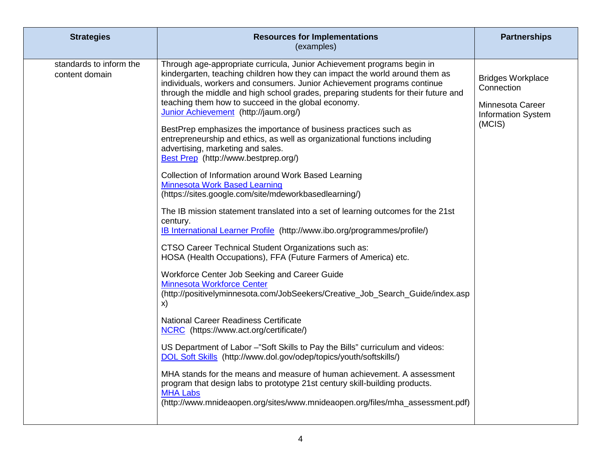| <b>Strategies</b>                         | <b>Resources for Implementations</b><br>(examples)                                                                                                                                                                                                                                                                                                                                                                                                                                                                                                                                                                                                                                                                                                                                                                                                                                                                                                                                                                                                                                                                                                                                                                                                                                                                                                                                                                                                                                                                                                                                                                                                                                                                                                                                                                      | <b>Partnerships</b>                                                                               |
|-------------------------------------------|-------------------------------------------------------------------------------------------------------------------------------------------------------------------------------------------------------------------------------------------------------------------------------------------------------------------------------------------------------------------------------------------------------------------------------------------------------------------------------------------------------------------------------------------------------------------------------------------------------------------------------------------------------------------------------------------------------------------------------------------------------------------------------------------------------------------------------------------------------------------------------------------------------------------------------------------------------------------------------------------------------------------------------------------------------------------------------------------------------------------------------------------------------------------------------------------------------------------------------------------------------------------------------------------------------------------------------------------------------------------------------------------------------------------------------------------------------------------------------------------------------------------------------------------------------------------------------------------------------------------------------------------------------------------------------------------------------------------------------------------------------------------------------------------------------------------------|---------------------------------------------------------------------------------------------------|
| standards to inform the<br>content domain | Through age-appropriate curricula, Junior Achievement programs begin in<br>kindergarten, teaching children how they can impact the world around them as<br>individuals, workers and consumers. Junior Achievement programs continue<br>through the middle and high school grades, preparing students for their future and<br>teaching them how to succeed in the global economy.<br>Junior Achievement (http://jaum.org/)<br>BestPrep emphasizes the importance of business practices such as<br>entrepreneurship and ethics, as well as organizational functions including<br>advertising, marketing and sales.<br>Best Prep (http://www.bestprep.org/)<br>Collection of Information around Work Based Learning<br><b>Minnesota Work Based Learning</b><br>(https://sites.google.com/site/mdeworkbasedlearning/)<br>The IB mission statement translated into a set of learning outcomes for the 21st<br>century.<br>IB International Learner Profile (http://www.ibo.org/programmes/profile/)<br>CTSO Career Technical Student Organizations such as:<br>HOSA (Health Occupations), FFA (Future Farmers of America) etc.<br>Workforce Center Job Seeking and Career Guide<br><b>Minnesota Workforce Center</b><br>(http://positivelyminnesota.com/JobSeekers/Creative_Job_Search_Guide/index.asp<br>X)<br><b>National Career Readiness Certificate</b><br>NCRC (https://www.act.org/certificate/)<br>US Department of Labor -"Soft Skills to Pay the Bills" curriculum and videos:<br>DOL Soft Skills (http://www.dol.gov/odep/topics/youth/softskills/)<br>MHA stands for the means and measure of human achievement. A assessment<br>program that design labs to prototype 21st century skill-building products.<br><b>MHA Labs</b><br>(http://www.mnideaopen.org/sites/www.mnideaopen.org/files/mha_assessment.pdf) | <b>Bridges Workplace</b><br>Connection<br>Minnesota Career<br><b>Information System</b><br>(MCIS) |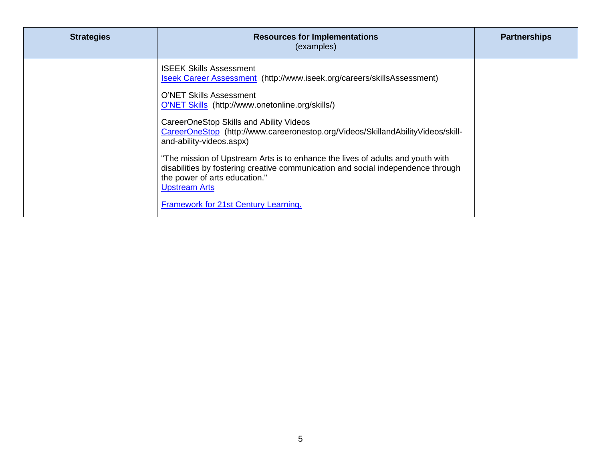| <b>Strategies</b> | <b>Resources for Implementations</b><br>(examples)                                                                                                                                                                                                                                                                                                                                                                                                                                                                                                                                                                               | <b>Partnerships</b> |
|-------------------|----------------------------------------------------------------------------------------------------------------------------------------------------------------------------------------------------------------------------------------------------------------------------------------------------------------------------------------------------------------------------------------------------------------------------------------------------------------------------------------------------------------------------------------------------------------------------------------------------------------------------------|---------------------|
|                   | <b>ISEEK Skills Assessment</b><br>Iseek Career Assessment (http://www.iseek.org/careers/skillsAssessment)<br>O'NET Skills Assessment<br>O'NET Skills (http://www.onetonline.org/skills/)<br>CareerOneStop Skills and Ability Videos<br>CareerOneStop (http://www.careeronestop.org/Videos/SkillandAbilityVideos/skill-<br>and-ability-videos.aspx)<br>"The mission of Upstream Arts is to enhance the lives of adults and youth with<br>disabilities by fostering creative communication and social independence through<br>the power of arts education."<br><b>Upstream Arts</b><br><b>Framework for 21st Century Learning.</b> |                     |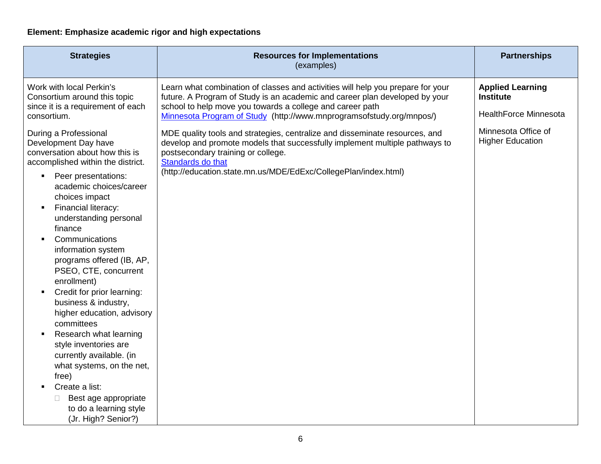## **Element: Emphasize academic rigor and high expectations**

| <b>Strategies</b>                                                                                                                                                                                                                                                                                                                                                                                                                                                                                                                                                                                                                                                                                          | <b>Resources for Implementations</b><br>(examples)                                                                                                                                                                                                                                                  | <b>Partnerships</b>                                                         |
|------------------------------------------------------------------------------------------------------------------------------------------------------------------------------------------------------------------------------------------------------------------------------------------------------------------------------------------------------------------------------------------------------------------------------------------------------------------------------------------------------------------------------------------------------------------------------------------------------------------------------------------------------------------------------------------------------------|-----------------------------------------------------------------------------------------------------------------------------------------------------------------------------------------------------------------------------------------------------------------------------------------------------|-----------------------------------------------------------------------------|
| Work with local Perkin's<br>Consortium around this topic<br>since it is a requirement of each<br>consortium.                                                                                                                                                                                                                                                                                                                                                                                                                                                                                                                                                                                               | Learn what combination of classes and activities will help you prepare for your<br>future. A Program of Study is an academic and career plan developed by your<br>school to help move you towards a college and career path<br>Minnesota Program of Study (http://www.mnprogramsofstudy.org/mnpos/) | <b>Applied Learning</b><br><b>Institute</b><br><b>HealthForce Minnesota</b> |
| During a Professional<br>Development Day have<br>conversation about how this is<br>accomplished within the district.<br>Peer presentations:<br>$\blacksquare$<br>academic choices/career<br>choices impact<br>Financial literacy:<br>understanding personal<br>finance<br>Communications<br>information system<br>programs offered (IB, AP,<br>PSEO, CTE, concurrent<br>enrollment)<br>Credit for prior learning:<br>٠<br>business & industry,<br>higher education, advisory<br>committees<br>Research what learning<br>style inventories are<br>currently available. (in<br>what systems, on the net,<br>free)<br>Create a list:<br>Best age appropriate<br>to do a learning style<br>(Jr. High? Senior?) | MDE quality tools and strategies, centralize and disseminate resources, and<br>develop and promote models that successfully implement multiple pathways to<br>postsecondary training or college.<br>Standards do that<br>(http://education.state.mn.us/MDE/EdExc/CollegePlan/index.html)            | Minnesota Office of<br><b>Higher Education</b>                              |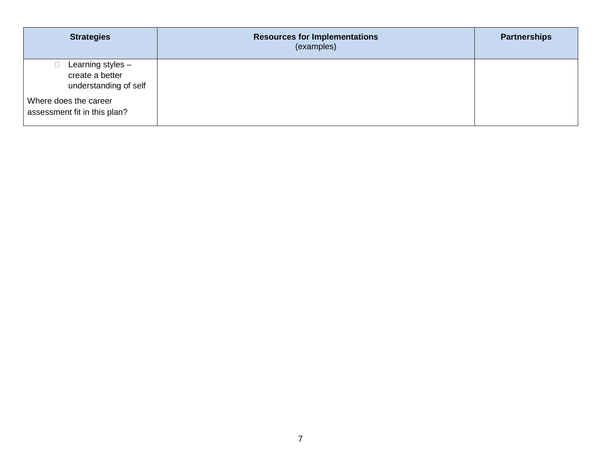| <b>Strategies</b>                                             | <b>Resources for Implementations</b><br>(examples) | <b>Partnerships</b> |
|---------------------------------------------------------------|----------------------------------------------------|---------------------|
| Learning styles -<br>create a better<br>understanding of self |                                                    |                     |
| Where does the career<br>assessment fit in this plan?         |                                                    |                     |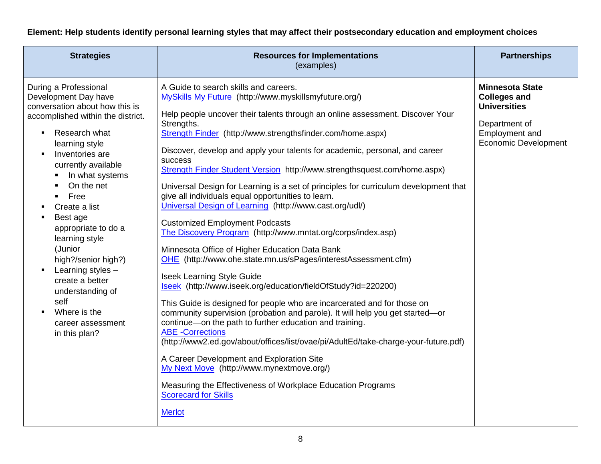#### **Element: Help students identify personal learning styles that may affect their postsecondary education and employment choices**

| <b>Strategies</b>                                                                                                                                                                                                                                                                                                                                                                                                                                                                                                | <b>Resources for Implementations</b><br>(examples)                                                                                                                                                                                                                                                                                                                                                                                                                                                                                                                                                                                                                                                                                                                                                                                                                                                                                                                                                                                                                                                                                                                                                                                                                                                                                                                                                                                                                                                                               | <b>Partnerships</b>                                                                                                                    |
|------------------------------------------------------------------------------------------------------------------------------------------------------------------------------------------------------------------------------------------------------------------------------------------------------------------------------------------------------------------------------------------------------------------------------------------------------------------------------------------------------------------|----------------------------------------------------------------------------------------------------------------------------------------------------------------------------------------------------------------------------------------------------------------------------------------------------------------------------------------------------------------------------------------------------------------------------------------------------------------------------------------------------------------------------------------------------------------------------------------------------------------------------------------------------------------------------------------------------------------------------------------------------------------------------------------------------------------------------------------------------------------------------------------------------------------------------------------------------------------------------------------------------------------------------------------------------------------------------------------------------------------------------------------------------------------------------------------------------------------------------------------------------------------------------------------------------------------------------------------------------------------------------------------------------------------------------------------------------------------------------------------------------------------------------------|----------------------------------------------------------------------------------------------------------------------------------------|
| During a Professional<br>Development Day have<br>conversation about how this is<br>accomplished within the district.<br>Research what<br>$\blacksquare$<br>learning style<br>Inventories are<br>currently available<br>In what systems<br>On the net<br>Free<br>$\blacksquare$<br>Create a list<br>Best age<br>appropriate to do a<br>learning style<br>(Junior<br>high?/senior high?)<br>Learning styles -<br>create a better<br>understanding of<br>self<br>Where is the<br>career assessment<br>in this plan? | A Guide to search skills and careers.<br>MySkills My Future (http://www.myskillsmyfuture.org/)<br>Help people uncover their talents through an online assessment. Discover Your<br>Strengths.<br>Strength Finder (http://www.strengthsfinder.com/home.aspx)<br>Discover, develop and apply your talents for academic, personal, and career<br>success<br>Strength Finder Student Version http://www.strengthsquest.com/home.aspx)<br>Universal Design for Learning is a set of principles for curriculum development that<br>give all individuals equal opportunities to learn.<br>Universal Design of Learning (http://www.cast.org/udl/)<br><b>Customized Employment Podcasts</b><br>The Discovery Program (http://www.mntat.org/corps/index.asp)<br>Minnesota Office of Higher Education Data Bank<br>OHE (http://www.ohe.state.mn.us/sPages/interestAssessment.cfm)<br><b>Iseek Learning Style Guide</b><br>Iseek (http://www.iseek.org/education/fieldOfStudy?id=220200)<br>This Guide is designed for people who are incarcerated and for those on<br>community supervision (probation and parole). It will help you get started-or<br>continue-on the path to further education and training.<br><b>ABE</b> - Corrections<br>(http://www2.ed.gov/about/offices/list/ovae/pi/AdultEd/take-charge-your-future.pdf)<br>A Career Development and Exploration Site<br>My Next Move (http://www.mynextmove.org/)<br>Measuring the Effectiveness of Workplace Education Programs<br><b>Scorecard for Skills</b><br><b>Merlot</b> | <b>Minnesota State</b><br><b>Colleges and</b><br><b>Universities</b><br>Department of<br>Employment and<br><b>Economic Development</b> |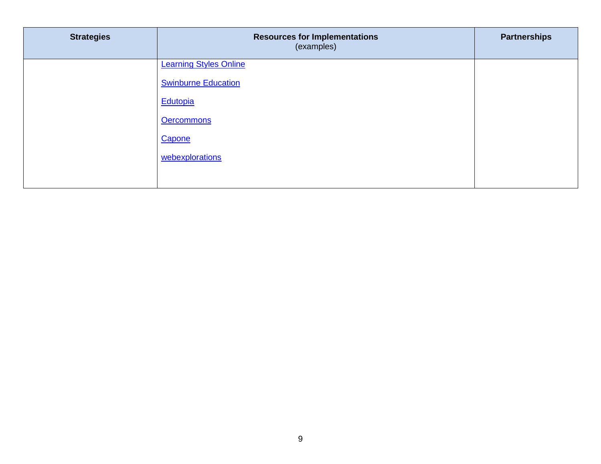| <b>Strategies</b> | <b>Resources for Implementations</b><br>(examples) | <b>Partnerships</b> |
|-------------------|----------------------------------------------------|---------------------|
|                   | <b>Learning Styles Online</b>                      |                     |
|                   | <b>Swinburne Education</b>                         |                     |
|                   | Edutopia<br><b>Oercommons</b>                      |                     |
|                   | Capone                                             |                     |
|                   | webexplorations                                    |                     |
|                   |                                                    |                     |
|                   |                                                    |                     |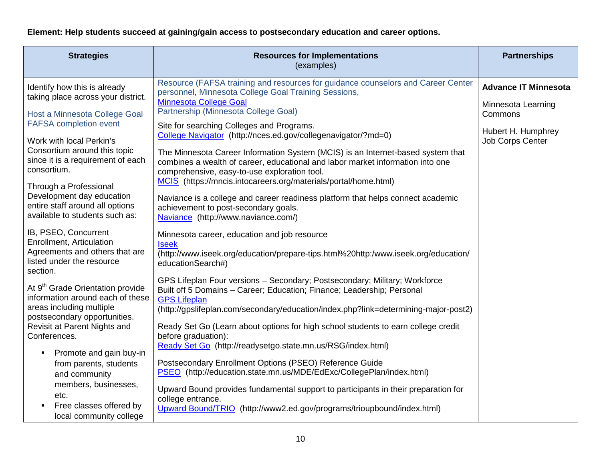#### **Element: Help students succeed at gaining/gain access to postsecondary education and career options.**

| <b>Strategies</b>                                                                                                                            | <b>Resources for Implementations</b><br>(examples)                                                                                                                                                                                                                 | <b>Partnerships</b>                           |
|----------------------------------------------------------------------------------------------------------------------------------------------|--------------------------------------------------------------------------------------------------------------------------------------------------------------------------------------------------------------------------------------------------------------------|-----------------------------------------------|
| Identify how this is already<br>taking place across your district.                                                                           | Resource (FAFSA training and resources for guidance counselors and Career Center<br>personnel, Minnesota College Goal Training Sessions,<br><b>Minnesota College Goal</b>                                                                                          | <b>Advance IT Minnesota</b>                   |
| Host a Minnesota College Goal                                                                                                                | Partnership (Minnesota College Goal)                                                                                                                                                                                                                               | Minnesota Learning<br>Commons                 |
| <b>FAFSA</b> completion event<br>Work with local Perkin's                                                                                    | Site for searching Colleges and Programs.<br>College Navigator (http://nces.ed.gov/collegenavigator/?md=0)                                                                                                                                                         | Hubert H. Humphrey<br><b>Job Corps Center</b> |
| Consortium around this topic<br>since it is a requirement of each<br>consortium.                                                             | The Minnesota Career Information System (MCIS) is an Internet-based system that<br>combines a wealth of career, educational and labor market information into one<br>comprehensive, easy-to-use exploration tool.                                                  |                                               |
| Through a Professional<br>Development day education<br>entire staff around all options<br>available to students such as:                     | MCIS (https://mncis.intocareers.org/materials/portal/home.html)<br>Naviance is a college and career readiness platform that helps connect academic<br>achievement to post-secondary goals.<br>Naviance (http://www.naviance.com/)                                  |                                               |
| IB, PSEO, Concurrent<br>Enrollment, Articulation<br>Agreements and others that are<br>listed under the resource<br>section.                  | Minnesota career, education and job resource<br><b>Iseek</b><br>(http://www.iseek.org/education/prepare-tips.html%20http:/www.iseek.org/education/<br>educationSearch#)                                                                                            |                                               |
| At 9 <sup>th</sup> Grade Orientation provide<br>information around each of these<br>areas including multiple<br>postsecondary opportunities. | GPS Lifeplan Four versions - Secondary; Postsecondary; Military; Workforce<br>Built off 5 Domains - Career; Education; Finance; Leadership; Personal<br><b>GPS Lifeplan</b><br>(http://gpslifeplan.com/secondary/education/index.php?link=determining-major-post2) |                                               |
| Revisit at Parent Nights and<br>Conferences.                                                                                                 | Ready Set Go (Learn about options for high school students to earn college credit<br>before graduation):                                                                                                                                                           |                                               |
| Promote and gain buy-in<br>from parents, students<br>and community                                                                           | Ready Set Go (http://readysetgo.state.mn.us/RSG/index.html)<br>Postsecondary Enrollment Options (PSEO) Reference Guide<br>PSEO (http://education.state.mn.us/MDE/EdExc/CollegePlan/index.html)                                                                     |                                               |
| members, businesses,<br>etc.<br>Free classes offered by                                                                                      | Upward Bound provides fundamental support to participants in their preparation for<br>college entrance.<br>Upward Bound/TRIO (http://www2.ed.gov/programs/trioupbound/index.html)                                                                                  |                                               |
| local community college                                                                                                                      |                                                                                                                                                                                                                                                                    |                                               |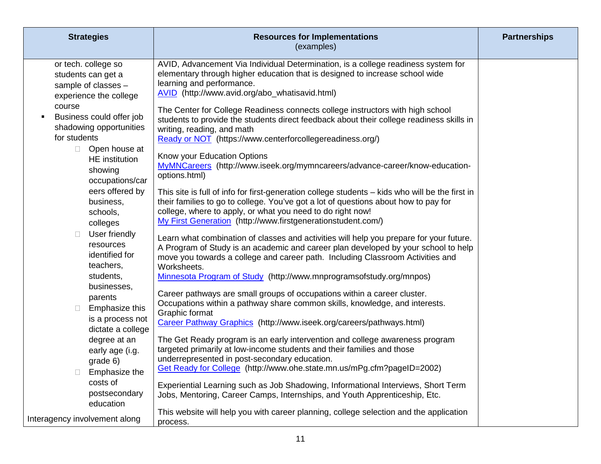| <b>Strategies</b>                                                                               | <b>Resources for Implementations</b><br>(examples)                                                                                                                                                                                                                                                                   | <b>Partnerships</b> |
|-------------------------------------------------------------------------------------------------|----------------------------------------------------------------------------------------------------------------------------------------------------------------------------------------------------------------------------------------------------------------------------------------------------------------------|---------------------|
| or tech. college so<br>students can get a<br>sample of classes -<br>experience the college      | AVID, Advancement Via Individual Determination, is a college readiness system for<br>elementary through higher education that is designed to increase school wide<br>learning and performance.<br>AVID (http://www.avid.org/abo_whatisavid.html)                                                                     |                     |
| course<br>Business could offer job<br>$\blacksquare$<br>shadowing opportunities<br>for students | The Center for College Readiness connects college instructors with high school<br>students to provide the students direct feedback about their college readiness skills in<br>writing, reading, and math<br>Ready or NOT (https://www.centerforcollegereadiness.org/)                                                |                     |
| Open house at<br>$\Box$<br>HE institution<br>showing<br>occupations/car                         | Know your Education Options<br>MyMNCareers (http://www.iseek.org/mymncareers/advance-career/know-education-<br>options.html)                                                                                                                                                                                         |                     |
| eers offered by<br>business,<br>schools,<br>colleges                                            | This site is full of info for first-generation college students - kids who will be the first in<br>their families to go to college. You've got a lot of questions about how to pay for<br>college, where to apply, or what you need to do right now!<br>My First Generation (http://www.firstgenerationstudent.com/) |                     |
| User friendly<br>$\Box$<br>resources<br>identified for<br>teachers,                             | Learn what combination of classes and activities will help you prepare for your future.<br>A Program of Study is an academic and career plan developed by your school to help<br>move you towards a college and career path. Including Classroom Activities and<br>Worksheets.                                       |                     |
| students,<br>businesses,                                                                        | Minnesota Program of Study (http://www.mnprogramsofstudy.org/mnpos)                                                                                                                                                                                                                                                  |                     |
| parents<br>Emphasize this<br>$\Box$<br>is a process not                                         | Career pathways are small groups of occupations within a career cluster.<br>Occupations within a pathway share common skills, knowledge, and interests.<br>Graphic format<br>Career Pathway Graphics (http://www.iseek.org/careers/pathways.html)                                                                    |                     |
| dictate a college<br>degree at an                                                               | The Get Ready program is an early intervention and college awareness program                                                                                                                                                                                                                                         |                     |
| early age (i.g.<br>grade 6)                                                                     | targeted primarily at low-income students and their families and those<br>underrepresented in post-secondary education.                                                                                                                                                                                              |                     |
| Emphasize the                                                                                   | Get Ready for College (http://www.ohe.state.mn.us/mPg.cfm?pageID=2002)                                                                                                                                                                                                                                               |                     |
| costs of<br>postsecondary<br>education                                                          | Experiential Learning such as Job Shadowing, Informational Interviews, Short Term<br>Jobs, Mentoring, Career Camps, Internships, and Youth Apprenticeship, Etc.                                                                                                                                                      |                     |
| Interagency involvement along                                                                   | This website will help you with career planning, college selection and the application<br>process.                                                                                                                                                                                                                   |                     |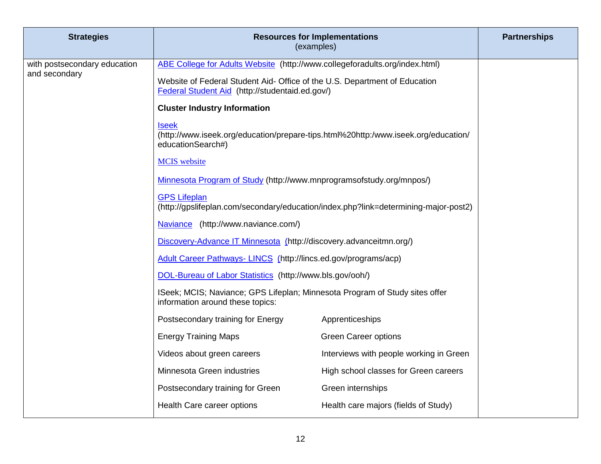| <b>Strategies</b>                             |                                                                                                                               | <b>Resources for Implementations</b><br>(examples) | <b>Partnerships</b> |
|-----------------------------------------------|-------------------------------------------------------------------------------------------------------------------------------|----------------------------------------------------|---------------------|
| with postsecondary education<br>and secondary | ABE College for Adults Website (http://www.collegeforadults.org/index.html)                                                   |                                                    |                     |
|                                               | Website of Federal Student Aid- Office of the U.S. Department of Education<br>Federal Student Aid (http://studentaid.ed.gov/) |                                                    |                     |
|                                               | <b>Cluster Industry Information</b>                                                                                           |                                                    |                     |
|                                               | <b>Iseek</b><br>(http://www.iseek.org/education/prepare-tips.html%20http:/www.iseek.org/education/<br>educationSearch#)       |                                                    |                     |
|                                               | <b>MCIS</b> website                                                                                                           |                                                    |                     |
|                                               | Minnesota Program of Study (http://www.mnprogramsofstudy.org/mnpos/)                                                          |                                                    |                     |
|                                               | <b>GPS Lifeplan</b><br>(http://gpslifeplan.com/secondary/education/index.php?link=determining-major-post2)                    |                                                    |                     |
|                                               | Naviance (http://www.naviance.com/)                                                                                           |                                                    |                     |
|                                               | Discovery-Advance IT Minnesota (http://discovery.advanceitmn.org/)                                                            |                                                    |                     |
|                                               | Adult Career Pathways- LINCS (http://lincs.ed.gov/programs/acp)                                                               |                                                    |                     |
|                                               | DOL-Bureau of Labor Statistics (http://www.bls.gov/ooh/)                                                                      |                                                    |                     |
|                                               | ISeek; MCIS; Naviance; GPS Lifeplan; Minnesota Program of Study sites offer<br>information around these topics:               |                                                    |                     |
|                                               | Postsecondary training for Energy                                                                                             | Apprenticeships                                    |                     |
|                                               | <b>Energy Training Maps</b>                                                                                                   | <b>Green Career options</b>                        |                     |
|                                               | Videos about green careers                                                                                                    | Interviews with people working in Green            |                     |
|                                               | Minnesota Green industries                                                                                                    | High school classes for Green careers              |                     |
|                                               | Postsecondary training for Green                                                                                              | Green internships                                  |                     |
|                                               | Health Care career options                                                                                                    | Health care majors (fields of Study)               |                     |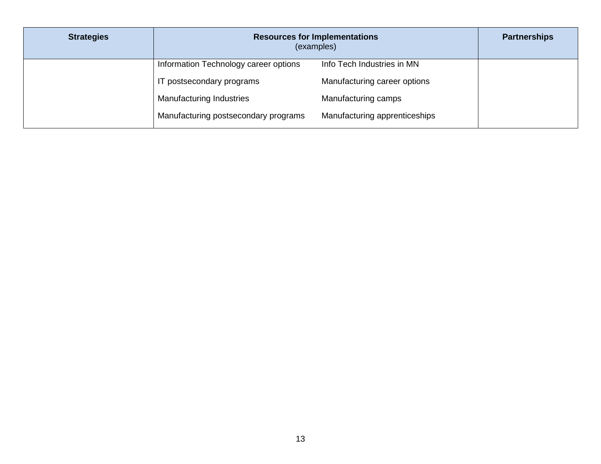| <b>Strategies</b> | <b>Resources for Implementations</b><br>(examples) |                               | <b>Partnerships</b> |
|-------------------|----------------------------------------------------|-------------------------------|---------------------|
|                   | Information Technology career options              | Info Tech Industries in MN    |                     |
|                   | IT postsecondary programs                          | Manufacturing career options  |                     |
|                   | <b>Manufacturing Industries</b>                    | Manufacturing camps           |                     |
|                   | Manufacturing postsecondary programs               | Manufacturing apprenticeships |                     |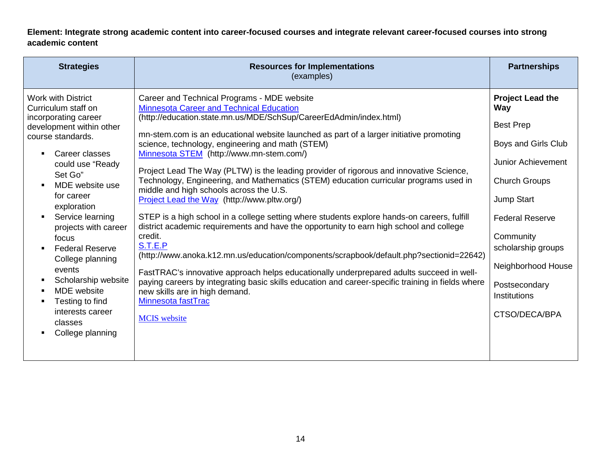**Element: Integrate strong academic content into career-focused courses and integrate relevant career-focused courses into strong academic content**

| <b>Strategies</b><br><b>Resources for Implementations</b><br>(examples)                                                                                                                                                                                                                                                                                                                                                                                                                                                                                                                                                                                                                                                                                                                                                                                                                                                                                                                                                                                                                                                                                                                                                                                                                                                                                                                                                                                                                                                                                                                                                                                                                                                      | <b>Partnerships</b>                                                                                                                                                                                                                                                               |
|------------------------------------------------------------------------------------------------------------------------------------------------------------------------------------------------------------------------------------------------------------------------------------------------------------------------------------------------------------------------------------------------------------------------------------------------------------------------------------------------------------------------------------------------------------------------------------------------------------------------------------------------------------------------------------------------------------------------------------------------------------------------------------------------------------------------------------------------------------------------------------------------------------------------------------------------------------------------------------------------------------------------------------------------------------------------------------------------------------------------------------------------------------------------------------------------------------------------------------------------------------------------------------------------------------------------------------------------------------------------------------------------------------------------------------------------------------------------------------------------------------------------------------------------------------------------------------------------------------------------------------------------------------------------------------------------------------------------------|-----------------------------------------------------------------------------------------------------------------------------------------------------------------------------------------------------------------------------------------------------------------------------------|
| Career and Technical Programs - MDE website<br><b>Work with District</b><br>Minnesota Career and Technical Education<br>Curriculum staff on<br>(http://education.state.mn.us/MDE/SchSup/CareerEdAdmin/index.html)<br>incorporating career<br>development within other<br>mn-stem.com is an educational website launched as part of a larger initiative promoting<br>course standards.<br>science, technology, engineering and math (STEM)<br>Career classes<br>Minnesota STEM (http://www.mn-stem.com/)<br>$\blacksquare$<br>could use "Ready"<br>Project Lead The Way (PLTW) is the leading provider of rigorous and innovative Science,<br>Set Go"<br>Technology, Engineering, and Mathematics (STEM) education curricular programs used in<br>MDE website use<br>middle and high schools across the U.S.<br>for career<br>Project Lead the Way (http://www.pltw.org/)<br>exploration<br>STEP is a high school in a college setting where students explore hands-on careers, fulfill<br>Service learning<br>district academic requirements and have the opportunity to earn high school and college<br>projects with career<br>credit.<br>focus<br>S.T.E.P<br><b>Federal Reserve</b><br>(http://www.anoka.k12.mn.us/education/components/scrapbook/default.php?sectionid=22642)<br>College planning<br>events<br>FastTRAC's innovative approach helps educationally underprepared adults succeed in well-<br>Scholarship website<br>п<br>paying careers by integrating basic skills education and career-specific training in fields where<br><b>MDE</b> website<br>new skills are in high demand.<br>п<br>Minnesota fastTrac<br>Testing to find<br>interests career<br><b>MCIS</b> website<br>classes<br>College planning | <b>Project Lead the</b><br>Way<br><b>Best Prep</b><br>Boys and Girls Club<br><b>Junior Achievement</b><br><b>Church Groups</b><br>Jump Start<br><b>Federal Reserve</b><br>Community<br>scholarship groups<br>Neighborhood House<br>Postsecondary<br>Institutions<br>CTSO/DECA/BPA |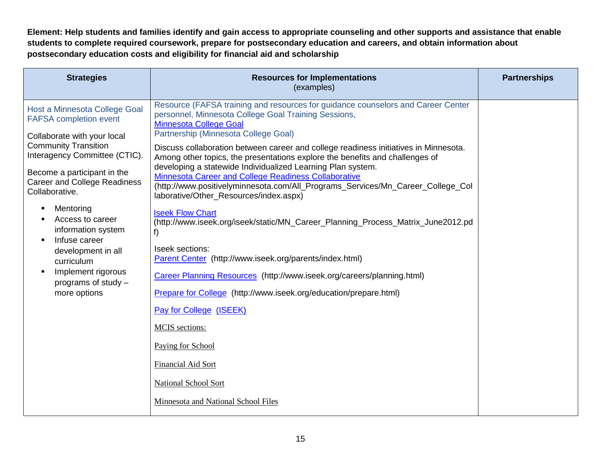**Element: Help students and families identify and gain access to appropriate counseling and other supports and assistance that enable students to complete required coursework, prepare for postsecondary education and careers, and obtain information about postsecondary education costs and eligibility for financial aid and scholarship**

| <b>Strategies</b>                                                                                                                                                                                                                                                                                                                                                                                                              | <b>Resources for Implementations</b><br>(examples)                                                                                                                                                                                                                                                                                                                                                                                                                                                                                                                                                                                                                                                                                                                                                                                                                                                                                                                                                                         | <b>Partnerships</b> |
|--------------------------------------------------------------------------------------------------------------------------------------------------------------------------------------------------------------------------------------------------------------------------------------------------------------------------------------------------------------------------------------------------------------------------------|----------------------------------------------------------------------------------------------------------------------------------------------------------------------------------------------------------------------------------------------------------------------------------------------------------------------------------------------------------------------------------------------------------------------------------------------------------------------------------------------------------------------------------------------------------------------------------------------------------------------------------------------------------------------------------------------------------------------------------------------------------------------------------------------------------------------------------------------------------------------------------------------------------------------------------------------------------------------------------------------------------------------------|---------------------|
| Host a Minnesota College Goal<br><b>FAFSA</b> completion event<br>Collaborate with your local<br><b>Community Transition</b><br>Interagency Committee (CTIC).<br>Become a participant in the<br><b>Career and College Readiness</b><br>Collaborative.<br>Mentoring<br>Access to career<br>information system<br>Infuse career<br>development in all<br>curriculum<br>Implement rigorous<br>programs of study -<br>more options | Resource (FAFSA training and resources for guidance counselors and Career Center<br>personnel, Minnesota College Goal Training Sessions,<br><b>Minnesota College Goal</b><br>Partnership (Minnesota College Goal)<br>Discuss collaboration between career and college readiness initiatives in Minnesota.<br>Among other topics, the presentations explore the benefits and challenges of<br>developing a statewide Individualized Learning Plan system.<br>Minnesota Career and College Readiness Collaborative<br>(http://www.positivelyminnesota.com/All_Programs_Services/Mn_Career_College_Col<br>laborative/Other_Resources/index.aspx)<br><b>Iseek Flow Chart</b><br>(http://www.iseek.org/iseek/static/MN_Career_Planning_Process_Matrix_June2012.pd<br>f)<br>Iseek sections:<br>Parent Center (http://www.iseek.org/parents/index.html)<br>Career Planning Resources (http://www.iseek.org/careers/planning.html)<br>Prepare for College (http://www.iseek.org/education/prepare.html)<br>Pay for College (ISEEK) |                     |
|                                                                                                                                                                                                                                                                                                                                                                                                                                | <b>MCIS</b> sections:<br>Paying for School                                                                                                                                                                                                                                                                                                                                                                                                                                                                                                                                                                                                                                                                                                                                                                                                                                                                                                                                                                                 |                     |
|                                                                                                                                                                                                                                                                                                                                                                                                                                | <b>Financial Aid Sort</b><br>National School Sort                                                                                                                                                                                                                                                                                                                                                                                                                                                                                                                                                                                                                                                                                                                                                                                                                                                                                                                                                                          |                     |
|                                                                                                                                                                                                                                                                                                                                                                                                                                | Minnesota and National School Files                                                                                                                                                                                                                                                                                                                                                                                                                                                                                                                                                                                                                                                                                                                                                                                                                                                                                                                                                                                        |                     |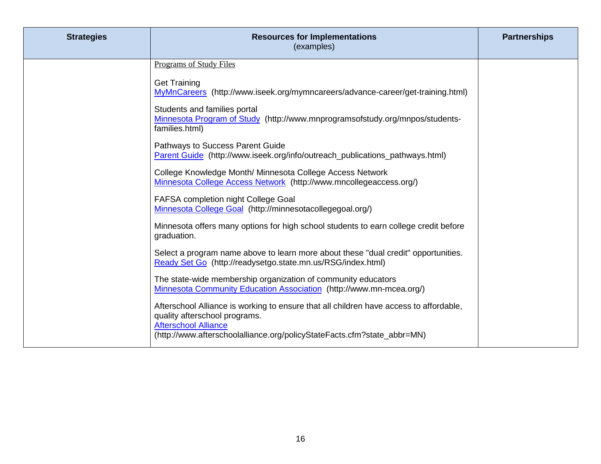| <b>Strategies</b> | <b>Resources for Implementations</b><br>(examples)                                                                                                                                                                                | <b>Partnerships</b> |
|-------------------|-----------------------------------------------------------------------------------------------------------------------------------------------------------------------------------------------------------------------------------|---------------------|
|                   | Programs of Study Files                                                                                                                                                                                                           |                     |
|                   | <b>Get Training</b><br>MyMnCareers (http://www.iseek.org/mymncareers/advance-career/get-training.html)                                                                                                                            |                     |
|                   | Students and families portal<br>Minnesota Program of Study (http://www.mnprogramsofstudy.org/mnpos/students-<br>families.html)                                                                                                    |                     |
|                   | Pathways to Success Parent Guide<br>Parent Guide (http://www.iseek.org/info/outreach_publications_pathways.html)                                                                                                                  |                     |
|                   | College Knowledge Month/ Minnesota College Access Network<br>Minnesota College Access Network (http://www.mncollegeaccess.org/)                                                                                                   |                     |
|                   | FAFSA completion night College Goal<br>Minnesota College Goal (http://minnesotacollegegoal.org/)                                                                                                                                  |                     |
|                   | Minnesota offers many options for high school students to earn college credit before<br>graduation.                                                                                                                               |                     |
|                   | Select a program name above to learn more about these "dual credit" opportunities.<br>Ready Set Go (http://readysetgo.state.mn.us/RSG/index.html)                                                                                 |                     |
|                   | The state-wide membership organization of community educators<br>Minnesota Community Education Association (http://www.mn-mcea.org/)                                                                                              |                     |
|                   | Afterschool Alliance is working to ensure that all children have access to affordable,<br>quality afterschool programs.<br><b>Afterschool Alliance</b><br>(http://www.afterschoolalliance.org/policyStateFacts.cfm?state_abbr=MN) |                     |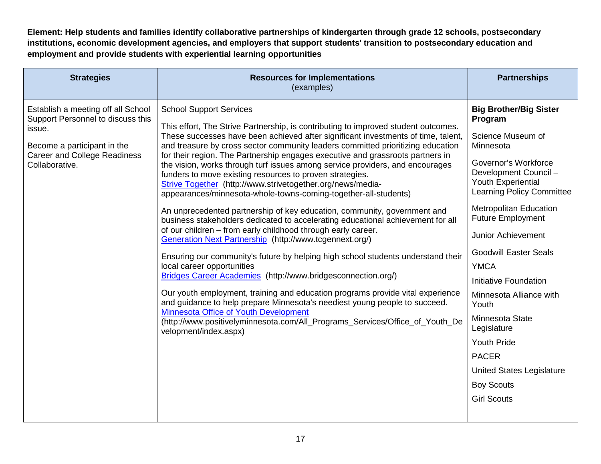**Element: Help students and families identify collaborative partnerships of kindergarten through grade 12 schools, postsecondary institutions, economic development agencies, and employers that support students' transition to postsecondary education and employment and provide students with experiential learning opportunities**

| <b>Strategies</b>                                                                                                                                                         | <b>Resources for Implementations</b><br>(examples)                                                                                                                                                                                                                                                                                                                                                                                                                                                                                                                                                                                                                                                                                                                                                                                                                                                                                                                                                                                                                                                                                                                                                                                                                                                                                                                                                                                                         | <b>Partnerships</b>                                                                                                                                                                                                                                                                                                                                                                                                                                                                                                                                |
|---------------------------------------------------------------------------------------------------------------------------------------------------------------------------|------------------------------------------------------------------------------------------------------------------------------------------------------------------------------------------------------------------------------------------------------------------------------------------------------------------------------------------------------------------------------------------------------------------------------------------------------------------------------------------------------------------------------------------------------------------------------------------------------------------------------------------------------------------------------------------------------------------------------------------------------------------------------------------------------------------------------------------------------------------------------------------------------------------------------------------------------------------------------------------------------------------------------------------------------------------------------------------------------------------------------------------------------------------------------------------------------------------------------------------------------------------------------------------------------------------------------------------------------------------------------------------------------------------------------------------------------------|----------------------------------------------------------------------------------------------------------------------------------------------------------------------------------------------------------------------------------------------------------------------------------------------------------------------------------------------------------------------------------------------------------------------------------------------------------------------------------------------------------------------------------------------------|
| Establish a meeting off all School<br>Support Personnel to discuss this<br>issue.<br>Become a participant in the<br><b>Career and College Readiness</b><br>Collaborative. | <b>School Support Services</b><br>This effort, The Strive Partnership, is contributing to improved student outcomes.<br>These successes have been achieved after significant investments of time, talent,<br>and treasure by cross sector community leaders committed prioritizing education<br>for their region. The Partnership engages executive and grassroots partners in<br>the vision, works through turf issues among service providers, and encourages<br>funders to move existing resources to proven strategies.<br>Strive Together (http://www.strivetogether.org/news/media-<br>appearances/minnesota-whole-towns-coming-together-all-students)<br>An unprecedented partnership of key education, community, government and<br>business stakeholders dedicated to accelerating educational achievement for all<br>of our children - from early childhood through early career.<br>Generation Next Partnership (http://www.tcgennext.org/)<br>Ensuring our community's future by helping high school students understand their<br>local career opportunities<br>Bridges Career Academies (http://www.bridgesconnection.org/)<br>Our youth employment, training and education programs provide vital experience<br>and guidance to help prepare Minnesota's neediest young people to succeed.<br>Minnesota Office of Youth Development<br>(http://www.positivelyminnesota.com/All_Programs_Services/Office_of_Youth_De<br>velopment/index.aspx) | <b>Big Brother/Big Sister</b><br>Program<br>Science Museum of<br>Minnesota<br>Governor's Workforce<br>Development Council -<br>Youth Experiential<br><b>Learning Policy Committee</b><br><b>Metropolitan Education</b><br><b>Future Employment</b><br><b>Junior Achievement</b><br><b>Goodwill Easter Seals</b><br><b>YMCA</b><br>Initiative Foundation<br>Minnesota Alliance with<br>Youth<br>Minnesota State<br>Legislature<br><b>Youth Pride</b><br><b>PACER</b><br><b>United States Legislature</b><br><b>Boy Scouts</b><br><b>Girl Scouts</b> |